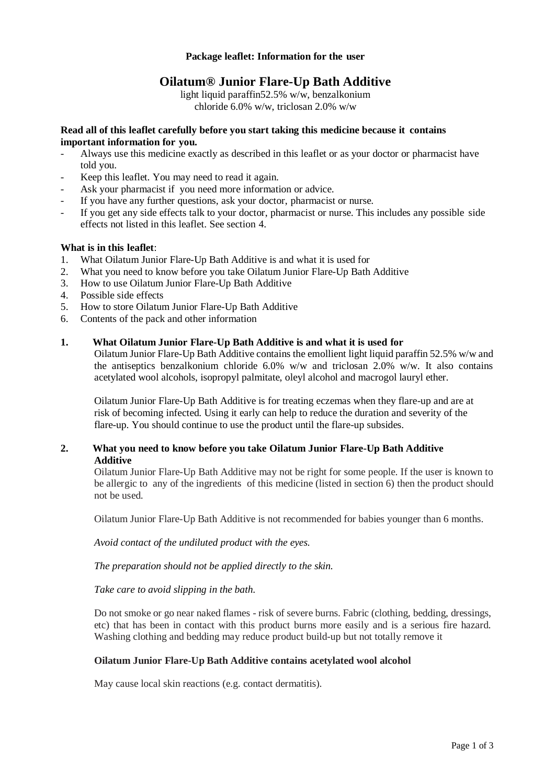#### **Package leaflet: Information for the user**

# **Oilatum® Junior Flare-Up Bath Additive**

light liquid paraffin52.5% w/w, benzalkonium chloride 6.0% w/w, triclosan 2.0% w/w

#### **Read all of this leaflet carefully before you start taking this medicine because it contains important information for you.**

- Always use this medicine exactly as described in this leaflet or as your doctor or pharmacist have told you.
- Keep this leaflet. You may need to read it again.
- Ask your pharmacist if you need more information or advice.
- If you have any further questions, ask your doctor, pharmacist or nurse.
- If you get any side effects talk to your doctor, pharmacist or nurse. This includes any possible side effects not listed in this leaflet. See section 4.

#### **What is in this leaflet**:

- 1. What Oilatum Junior Flare-Up Bath Additive is and what it is used for
- 2. What you need to know before you take Oilatum Junior Flare-Up Bath Additive
- 3. How to use Oilatum Junior Flare-Up Bath Additive
- 4. Possible side effects
- 5. How to store Oilatum Junior Flare-Up Bath Additive
- 6. Contents of the pack and other information

#### **1. What Oilatum Junior Flare-Up Bath Additive is and what it is used for**

Oilatum Junior Flare-Up Bath Additive contains the emollient light liquid paraffin 52.5% w/w and the antiseptics benzalkonium chloride 6.0% w/w and triclosan 2.0% w/w. It also contains acetylated wool alcohols, isopropyl palmitate, oleyl alcohol and macrogol lauryl ether.

Oilatum Junior Flare-Up Bath Additive is for treating eczemas when they flare-up and are at risk of becoming infected. Using it early can help to reduce the duration and severity of the flare-up. You should continue to use the product until the flare-up subsides.

### **2. What you need to know before you take Oilatum Junior Flare-Up Bath Additive Additive**

Oilatum Junior Flare-Up Bath Additive may not be right for some people. If the user is known to be allergic to any of the ingredients of this medicine (listed in section 6) then the product should not be used.

Oilatum Junior Flare-Up Bath Additive is not recommended for babies younger than 6 months.

*Avoid contact of the undiluted product with the eyes.*

*The preparation should not be applied directly to the skin.*

*Take care to avoid slipping in the bath*.

Do not smoke or go near naked flames - risk of severe burns. Fabric (clothing, bedding, dressings, etc) that has been in contact with this product burns more easily and is a serious fire hazard. Washing clothing and bedding may reduce product build-up but not totally remove it

### **Oilatum Junior Flare-Up Bath Additive contains acetylated wool alcohol**

May cause local skin reactions (e.g. contact dermatitis).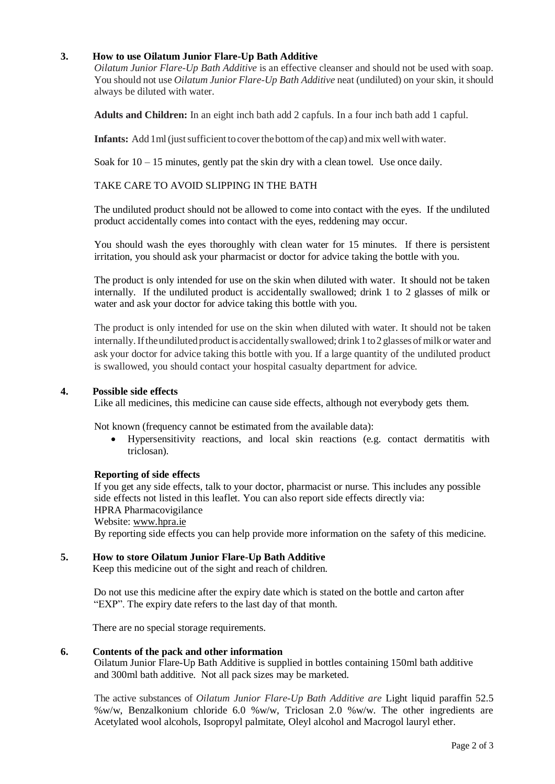# **3. How to use Oilatum Junior Flare-Up Bath Additive**

*Oilatum Junior Flare-Up Bath Additive* is an effective cleanser and should not be used with soap. You should not use *Oilatum Junior Flare-Up Bath Additive* neat (undiluted) on your skin, it should always be diluted with water.

**Adults and Children:** In an eight inch bath add 2 capfuls. In a four inch bath add 1 capful.

**Infants:** Add 1 ml (just sufficient to cover the bottom of the cap) and mix well with water.

Soak for  $10 - 15$  minutes, gently pat the skin dry with a clean towel. Use once daily.

### TAKE CARE TO AVOID SLIPPING IN THE BATH

The undiluted product should not be allowed to come into contact with the eyes. If the undiluted product accidentally comes into contact with the eyes, reddening may occur.

You should wash the eyes thoroughly with clean water for 15 minutes. If there is persistent irritation, you should ask your pharmacist or doctor for advice taking the bottle with you.

The product is only intended for use on the skin when diluted with water. It should not be taken internally. If the undiluted product is accidentally swallowed; drink 1 to 2 glasses of milk or water and ask your doctor for advice taking this bottle with you.

The product is only intended for use on the skin when diluted with water. It should not be taken internally. If the undiluted product is accidentally swallowed; drink 1 to 2 glasses of milk or water and ask your doctor for advice taking this bottle with you. If a large quantity of the undiluted product is swallowed, you should contact your hospital casualty department for advice.

#### **4. Possible side effects**

Like all medicines, this medicine can cause side effects, although not everybody gets them.

Not known (frequency cannot be estimated from the available data):

 Hypersensitivity reactions, and local skin reactions (e.g. contact dermatitis with triclosan).

### **Reporting of side effects**

If you get any side effects, talk to your doctor, pharmacist or nurse. This includes any possible side effects not listed in this leaflet. You can also report side effects directly via: HPRA Pharmacovigilance Website: [www.hpra.ie](http://www.hpra.ie/) By reporting side effects you can help provide more information on the safety of this medicine.

### **5. How to store Oilatum Junior Flare-Up Bath Additive**

Keep this medicine out of the sight and reach of children.

Do not use this medicine after the expiry date which is stated on the bottle and carton after "EXP". The expiry date refers to the last day of that month.

There are no special storage requirements.

#### **6. Contents of the pack and other information**

Oilatum Junior Flare-Up Bath Additive is supplied in bottles containing 150ml bath additive and 300ml bath additive. Not all pack sizes may be marketed.

The active substances of *Oilatum Junior Flare-Up Bath Additive are* Light liquid paraffin 52.5 %w/w, Benzalkonium chloride 6.0 %w/w, Triclosan 2.0 %w/w. The other ingredients are Acetylated wool alcohols, Isopropyl palmitate, Oleyl alcohol and Macrogol lauryl ether.